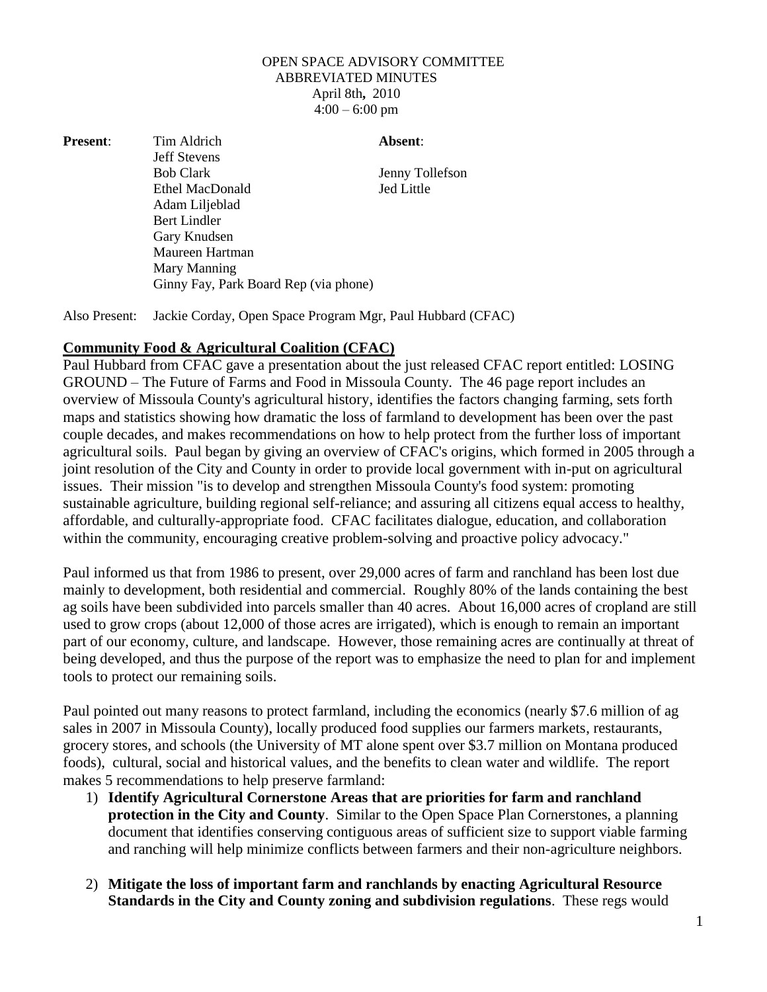## OPEN SPACE ADVISORY COMMITTEE ABBREVIATED MINUTES April 8th**,** 2010  $4:00 - 6:00$  pm

**Present:** Tim Aldrich **Absent:** Jeff Stevens Bob Clark Jenny Tollefson Ethel MacDonald Jed Little Adam Liljeblad Bert Lindler Gary Knudsen Maureen Hartman Mary Manning Ginny Fay, Park Board Rep (via phone)

Also Present: Jackie Corday, Open Space Program Mgr, Paul Hubbard (CFAC)

## **Community Food & Agricultural Coalition (CFAC)**

Paul Hubbard from CFAC gave a presentation about the just released CFAC report entitled: LOSING GROUND – The Future of Farms and Food in Missoula County. The 46 page report includes an overview of Missoula County's agricultural history, identifies the factors changing farming, sets forth maps and statistics showing how dramatic the loss of farmland to development has been over the past couple decades, and makes recommendations on how to help protect from the further loss of important agricultural soils. Paul began by giving an overview of CFAC's origins, which formed in 2005 through a joint resolution of the City and County in order to provide local government with in-put on agricultural issues. Their mission "is to develop and strengthen Missoula County's food system: promoting sustainable agriculture, building regional self-reliance; and assuring all citizens equal access to healthy, affordable, and culturally-appropriate food. CFAC facilitates dialogue, education, and collaboration within the community, encouraging creative problem-solving and proactive policy advocacy."

Paul informed us that from 1986 to present, over 29,000 acres of farm and ranchland has been lost due mainly to development, both residential and commercial. Roughly 80% of the lands containing the best ag soils have been subdivided into parcels smaller than 40 acres. About 16,000 acres of cropland are still used to grow crops (about 12,000 of those acres are irrigated), which is enough to remain an important part of our economy, culture, and landscape. However, those remaining acres are continually at threat of being developed, and thus the purpose of the report was to emphasize the need to plan for and implement tools to protect our remaining soils.

Paul pointed out many reasons to protect farmland, including the economics (nearly \$7.6 million of ag sales in 2007 in Missoula County), locally produced food supplies our farmers markets, restaurants, grocery stores, and schools (the University of MT alone spent over \$3.7 million on Montana produced foods), cultural, social and historical values, and the benefits to clean water and wildlife. The report makes 5 recommendations to help preserve farmland:

- 1) **Identify Agricultural Cornerstone Areas that are priorities for farm and ranchland protection in the City and County**. Similar to the Open Space Plan Cornerstones, a planning document that identifies conserving contiguous areas of sufficient size to support viable farming and ranching will help minimize conflicts between farmers and their non-agriculture neighbors.
- 2) **Mitigate the loss of important farm and ranchlands by enacting Agricultural Resource Standards in the City and County zoning and subdivision regulations**. These regs would